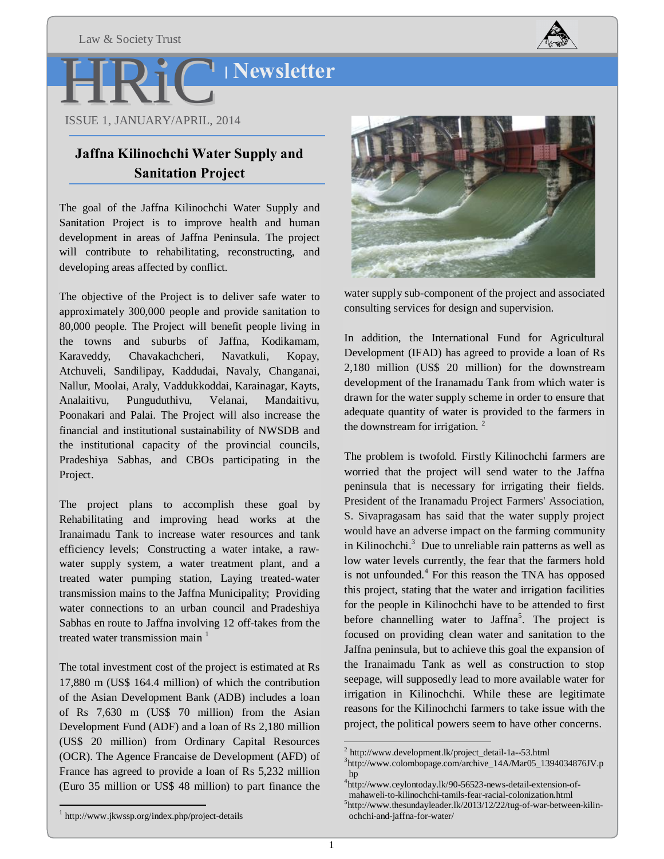

# **Newsletter**

H ISSUE 1, JANUARY/APRIL, 2014 R iC

# **Jaffna Kilinochchi Water Supply and Sanitation Project**

The goal of the Jaffna Kilinochchi Water Supply and Sanitation Project is to improve health and human development in areas of Jaffna Peninsula. The project will contribute to rehabilitating, reconstructing, and developing areas affected by conflict.

The objective of the Project is to deliver safe water to approximately 300,000 people and provide sanitation to 80,000 people. The Project will benefit people living in the towns and suburbs of Jaffna, Kodikamam, Karaveddy, Chavakachcheri, Navatkuli, Kopay, Atchuveli, Sandilipay, Kaddudai, Navaly, Changanai, Nallur, Moolai, Araly, Vaddukkoddai, Karainagar, Kayts, Analaitivu, Punguduthivu, Velanai, Mandaitivu, Poonakari and Palai. The Project will also increase the financial and institutional sustainability of NWSDB and the institutional capacity of the provincial councils, Pradeshiya Sabhas, and CBOs participating in the Project.

The project plans to accomplish these goal by Rehabilitating and improving head works at the Iranaimadu Tank to increase water resources and tank efficiency levels; Constructing a water intake, a rawwater supply system, a water treatment plant, and a treated water pumping station, Laying treated-water transmission mains to the Jaffna Municipality; Providing water connections to an urban council and Pradeshiya Sabhas en route to Jaffna involving 12 off-takes from the treated water transmission main  $<sup>1</sup>$ </sup>

The total investment cost of the project is estimated at Rs 17,880 m (US\$ 164.4 million) of which the contribution of the Asian Development Bank (ADB) includes a loan of Rs 7,630 m (US\$ 70 million) from the Asian Development Fund (ADF) and a loan of Rs 2,180 million (US\$ 20 million) from Ordinary Capital Resources (OCR). The Agence Francaise de Development (AFD) of France has agreed to provide a loan of Rs 5,232 million (Euro 35 million or US\$ 48 million) to part finance the



water supply sub-component of the project and associated consulting services for design and supervision.

In addition, the International Fund for Agricultural Development (IFAD) has agreed to provide a loan of Rs 2,180 million (US\$ 20 million) for the downstream development of the Iranamadu Tank from which water is drawn for the water supply scheme in order to ensure that adequate quantity of water is provided to the farmers in the downstream for irrigation.  $2^2$ 

The problem is twofold. Firstly Kilinochchi farmers are worried that the project will send water to the Jaffna peninsula that is necessary for irrigating their fields. President of the Iranamadu Project Farmers' Association, S. Sivapragasam has said that the water supply project would have an adverse impact on the farming community in Kilinochchi. $3$  Due to unreliable rain patterns as well as low water levels currently, the fear that the farmers hold is not unfounded.<sup>4</sup> For this reason the TNA has opposed this project, stating that the water and irrigation facilities for the people in Kilinochchi have to be attended to first before channelling water to Jaffna<sup>5</sup>. The project is focused on providing clean water and sanitation to the Jaffna peninsula, but to achieve this goal the expansion of the Iranaimadu Tank as well as construction to stop seepage, will supposedly lead to more available water for irrigation in Kilinochchi. While these are legitimate reasons for the Kilinochchi farmers to take issue with the project, the political powers seem to have other concerns.

 $2$  http://www.development.lk/project\_detail-1a--53.html

<sup>&</sup>lt;sup>3</sup>http://www.colombopage.com/archive\_14A/Mar05\_1394034876JV.p hp

<sup>4</sup> http://www.ceylontoday.lk/90-56523-news-detail-extension-of-

mahaweli-to-kilinochchi-tamils-fear-racial-colonization.html <sup>5</sup>

 $5$ http://www.thesundayleader.lk/2013/12/22/tug-of-war-between-kilinochchi-and-jaffna-for-water/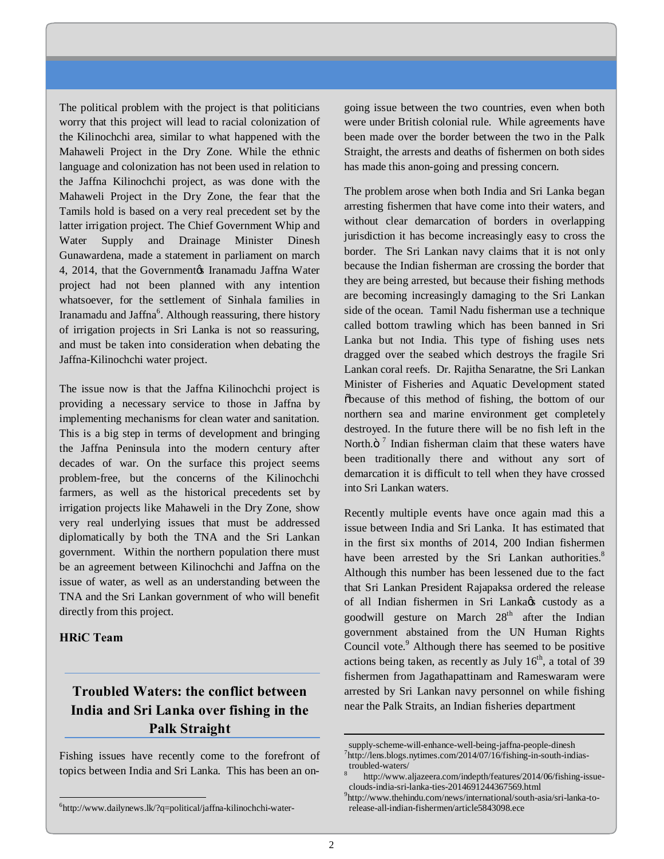The political problem with the project is that politicians worry that this project will lead to racial colonization of the Kilinochchi area, similar to what happened with the Mahaweli Project in the Dry Zone. While the ethnic language and colonization has not been used in relation to the Jaffna Kilinochchi project, as was done with the Mahaweli Project in the Dry Zone, the fear that the Tamils hold is based on a very real precedent set by the latter irrigation project. The Chief Government Whip and Water Supply and Drainage Minister Dinesh Gunawardena, made a statement in parliament on march 4, 2014, that the Government is Iranamadu Jaffna Water project had not been planned with any intention whatsoever, for the settlement of Sinhala families in Iranamadu and Jaffna<sup>6</sup>. Although reassuring, there history of irrigation projects in Sri Lanka is not so reassuring, and must be taken into consideration when debating the Jaffna-Kilinochchi water project.

The issue now is that the Jaffna Kilinochchi project is providing a necessary service to those in Jaffna by implementing mechanisms for clean water and sanitation. This is a big step in terms of development and bringing the Jaffna Peninsula into the modern century after decades of war. On the surface this project seems problem-free, but the concerns of the Kilinochchi farmers, as well as the historical precedents set by irrigation projects like Mahaweli in the Dry Zone, show very real underlying issues that must be addressed diplomatically by both the TNA and the Sri Lankan government. Within the northern population there must be an agreement between Kilinochchi and Jaffna on the issue of water, as well as an understanding between the TNA and the Sri Lankan government of who will benefit directly from this project.

### **HRiC Team**

# **Troubled Waters: the conflict between India and Sri Lanka over fishing in the Palk Straight**

Fishing issues have recently come to the forefront of topics between India and Sri Lanka. This has been an ongoing issue between the two countries, even when both were under British colonial rule. While agreements have been made over the border between the two in the Palk Straight, the arrests and deaths of fishermen on both sides has made this anon-going and pressing concern.

The problem arose when both India and Sri Lanka began arresting fishermen that have come into their waters, and without clear demarcation of borders in overlapping jurisdiction it has become increasingly easy to cross the border. The Sri Lankan navy claims that it is not only because the Indian fisherman are crossing the border that they are being arrested, but because their fishing methods are becoming increasingly damaging to the Sri Lankan side of the ocean. Tamil Nadu fisherman use a technique called bottom trawling which has been banned in Sri Lanka but not India. This type of fishing uses nets dragged over the seabed which destroys the fragile Sri Lankan coral reefs. Dr. Rajitha Senaratne, the Sri Lankan Minister of Fisheries and Aquatic Development stated "because of this method of fishing, the bottom of our northern sea and marine environment get completely destroyed. In the future there will be no fish left in the North. $\ddot{\text{o}}^7$  Indian fisherman claim that these waters have been traditionally there and without any sort of demarcation it is difficult to tell when they have crossed into Sri Lankan waters.

Recently multiple events have once again mad this a issue between India and Sri Lanka. It has estimated that in the first six months of 2014, 200 Indian fishermen have been arrested by the Sri Lankan authorities. $8^{\circ}$ Although this number has been lessened due to the fact that Sri Lankan President Rajapaksa ordered the release of all Indian fishermen in Sri Lankaøs custody as a goodwill gesture on March 28<sup>th</sup> after the Indian government abstained from the UN Human Rights Council vote.<sup>9</sup> Although there has seemed to be positive actions being taken, as recently as July  $16<sup>th</sup>$ , a total of 39 fishermen from Jagathapattinam and Rameswaram were arrested by Sri Lankan navy personnel on while fishing near the Palk Straits, an Indian fisheries department

 $\overline{a}$ 

 $\frac{1}{6}$ http://www.dailynews.lk/?q=political/jaffna-kilinochchi-water-

supply-scheme-will-enhance-well-being-jaffna-people-dinesh <sup>7</sup>  $\nu$ <sup>7</sup>http://lens.blogs.nytimes.com/2014/07/16/fishing-in-south-indias-

troubled-waters/<br>
<sup>8</sup> http://www.aljazeera.com/indepth/features/2014/06/fishing-issueclouds-india-sri-lanka-ties-2014691244367569.html <sup>9</sup>

http://www.thehindu.com/news/international/south-asia/sri-lanka-torelease-all-indian-fishermen/article5843098.ece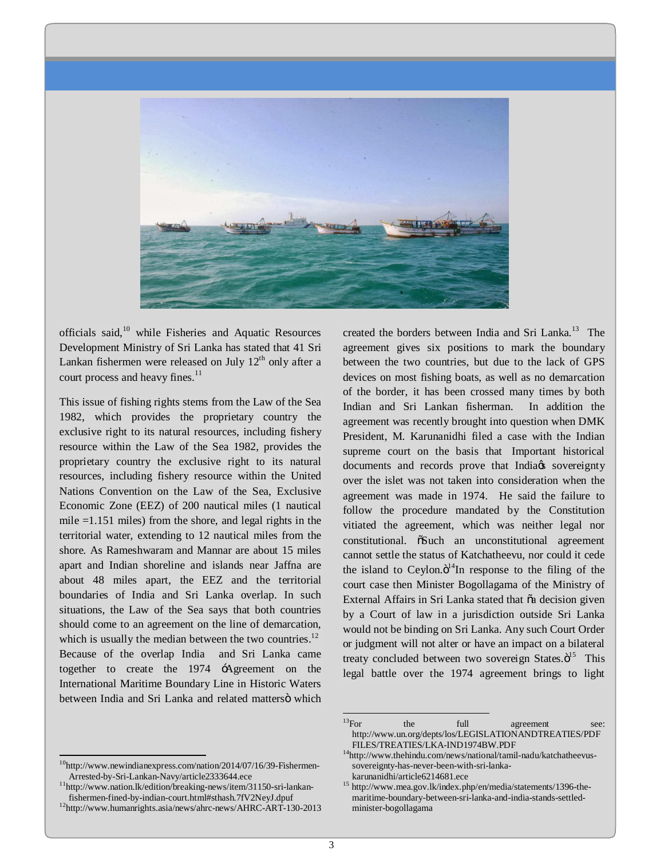

officials said,<sup>10</sup> while Fisheries and Aquatic Resources Development Ministry of Sri Lanka has stated that 41 Sri Lankan fishermen were released on July  $12<sup>th</sup>$  only after a court process and heavy fines.<sup>11</sup>

This issue of fishing rights stems from the Law of the Sea 1982, which provides the proprietary country the exclusive right to its natural resources, including fishery resource within the Law of the Sea 1982, provides the proprietary country the exclusive right to its natural resources, including fishery resource within the United Nations Convention on the Law of the Sea, Exclusive Economic Zone (EEZ) of 200 nautical miles (1 nautical mile =1.151 miles) from the shore, and legal rights in the territorial water, extending to 12 nautical miles from the shore. As Rameshwaram and Mannar are about 15 miles apart and Indian shoreline and islands near Jaffna are about 48 miles apart, the EEZ and the territorial boundaries of India and Sri Lanka overlap. In such situations, the Law of the Sea says that both countries should come to an agreement on the line of demarcation, which is usually the median between the two countries. $12$ Because of the overlap India and Sri Lanka came together to create the 1974 'Agreement on the International Maritime Boundary Line in Historic Waters between India and Sri Lanka and related mattersö which

created the borders between India and Sri Lanka.<sup>13</sup> The agreement gives six positions to mark the boundary between the two countries, but due to the lack of GPS devices on most fishing boats, as well as no demarcation of the border, it has been crossed many times by both Indian and Sri Lankan fisherman. In addition the agreement was recently brought into question when DMK President, M. Karunanidhi filed a case with the Indian supreme court on the basis that Important historical documents and records prove that India<sub>gs</sub> sovereignty over the islet was not taken into consideration when the agreement was made in 1974. He said the failure to follow the procedure mandated by the Constitution vitiated the agreement, which was neither legal nor constitutional.  $\delta$ Such an unconstitutional agreement cannot settle the status of Katchatheevu, nor could it cede the island to Ceylon. $\ddot{o}^{14}$ In response to the filing of the court case then Minister Bogollagama of the Ministry of External Affairs in Sri Lanka stated that  $\tilde{a}$  decision given by a Court of law in a jurisdiction outside Sri Lanka would not be binding on Sri Lanka. Any such Court Order or judgment will not alter or have an impact on a bilateral treaty concluded between two sovereign States. $\ddot{o}^{15}$  This legal battle over the 1974 agreement brings to light

 $^{10}$ http://www.newindianexpress.com/nation/2014/07/16/39-Fishermen-<br>Arrested-by-Sri-Lankan-Navy/article2333644.ece

 $^{11}$ http://www.nation.lk/edition/breaking-news/item/31150-sri-lankan-<br>fishermen-fined-by-indian-court.html#sthash.7fV2NeyJ.dpuf

 $12$ http://www.humanrights.asia/news/ahrc-news/AHRC-ART-130-2013

 $\frac{13}{13}$ For the full agreement see: http://www.un.org/depts/los/LEGISLATIONANDTREATIES/PDF

 ${\hbox{FILES/IREATIES/LKA-IND1974BW.PDF}}^{14}$  http://www.thehindu.com/news/national/tamil-nadu/katchatheevussovereignty-has-never-been-with-sri-lanka-<br>karunanidhi/article6214681.ece

 $k^{15}$  http://www.mea.gov.lk/index.php/en/media/statements/1396-themaritime-boundary-between-sri-lanka-and-india-stands-settledminister-bogollagama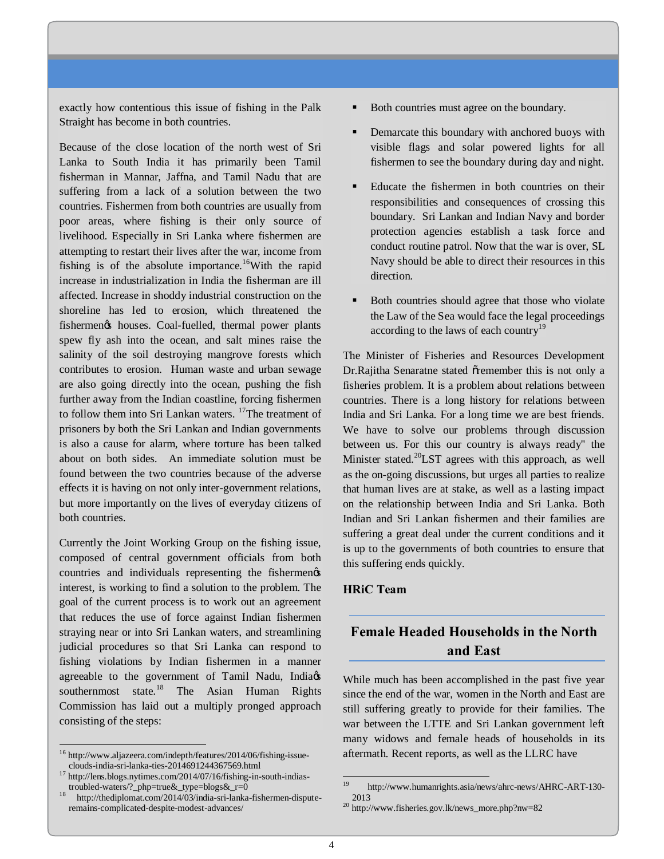exactly how contentious this issue of fishing in the Palk Straight has become in both countries.

Because of the close location of the north west of Sri Lanka to South India it has primarily been Tamil fisherman in Mannar, Jaffna, and Tamil Nadu that are suffering from a lack of a solution between the two countries. Fishermen from both countries are usually from poor areas, where fishing is their only source of livelihood. Especially in Sri Lanka where fishermen are attempting to restart their lives after the war, income from fishing is of the absolute importance.<sup>16</sup>With the rapid increase in industrialization in India the fisherman are ill affected. Increase in shoddy industrial construction on the shoreline has led to erosion, which threatened the fishermengs houses. Coal-fuelled, thermal power plants spew fly ash into the ocean, and salt mines raise the salinity of the soil destroying mangrove forests which contributes to erosion. Human waste and urban sewage are also going directly into the ocean, pushing the fish further away from the Indian coastline, forcing fishermen to follow them into Sri Lankan waters. <sup>17</sup>The treatment of prisoners by both the Sri Lankan and Indian governments is also a cause for alarm, where torture has been talked about on both sides. An immediate solution must be found between the two countries because of the adverse effects it is having on not only inter-government relations, but more importantly on the lives of everyday citizens of both countries.

Currently the Joint Working Group on the fishing issue, composed of central government officials from both countries and individuals representing the fishermengs interest, is working to find a solution to the problem. The goal of the current process is to work out an agreement that reduces the use of force against Indian fishermen straying near or into Sri Lankan waters, and streamlining judicial procedures so that Sri Lanka can respond to fishing violations by Indian fishermen in a manner agreeable to the government of Tamil Nadu, India $\alpha$ southernmost state.<sup>18</sup> The Asian Human Rights Commission has laid out a multiply pronged approach consisting of the steps:

- ß Both countries must agree on the boundary.
- ß Demarcate this boundary with anchored buoys with visible flags and solar powered lights for all fishermen to see the boundary during day and night.
- ß Educate the fishermen in both countries on their responsibilities and consequences of crossing this boundary. Sri Lankan and Indian Navy and border protection agencies establish a task force and conduct routine patrol. Now that the war is over, SL Navy should be able to direct their resources in this direction.
- ß Both countries should agree that those who violate the Law of the Sea would face the legal proceedings according to the laws of each country<sup>19</sup>

The Minister of Fisheries and Resources Development Dr.Rajitha Senaratne stated õremember this is not only a fisheries problem. It is a problem about relations between countries. There is a long history for relations between India and Sri Lanka. For a long time we are best friends. We have to solve our problems through discussion between us. For this our country is always ready" the Minister stated.<sup>20</sup>LST agrees with this approach, as well as the on-going discussions, but urges all parties to realize that human lives are at stake, as well as a lasting impact on the relationship between India and Sri Lanka. Both Indian and Sri Lankan fishermen and their families are suffering a great deal under the current conditions and it is up to the governments of both countries to ensure that this suffering ends quickly.

### **HRiC Team**

# **Female Headed Households in the North and East**

While much has been accomplished in the past five year since the end of the war, women in the North and East are still suffering greatly to provide for their families. The war between the LTTE and Sri Lankan government left many widows and female heads of households in its aftermath. Recent reports, as well as the LLRC have

 $^{16}$  http://www.aljazeera.com/indepth/features/2014/06/fishing-issue-clouds-india-sri-lanka-ties-2014691244367569.html

<sup>&</sup>lt;sup>17</sup> http://lens.blogs.nytimes.com/2014/07/16/fishing-in-south-indias-<br>troubled-waters/?\_php=true&\_type=blogs&\_r=0

http://thediplomat.com/2014/03/india-sri-lanka-fishermen-disputeremains-complicated-despite-modest-advances/

<sup>19</sup> http://www.humanrights.asia/news/ahrc-news/AHRC-ART-130- <sup>2013</sup> <sup>20</sup> http://www.fisheries.gov.lk/news\_more.php?nw=82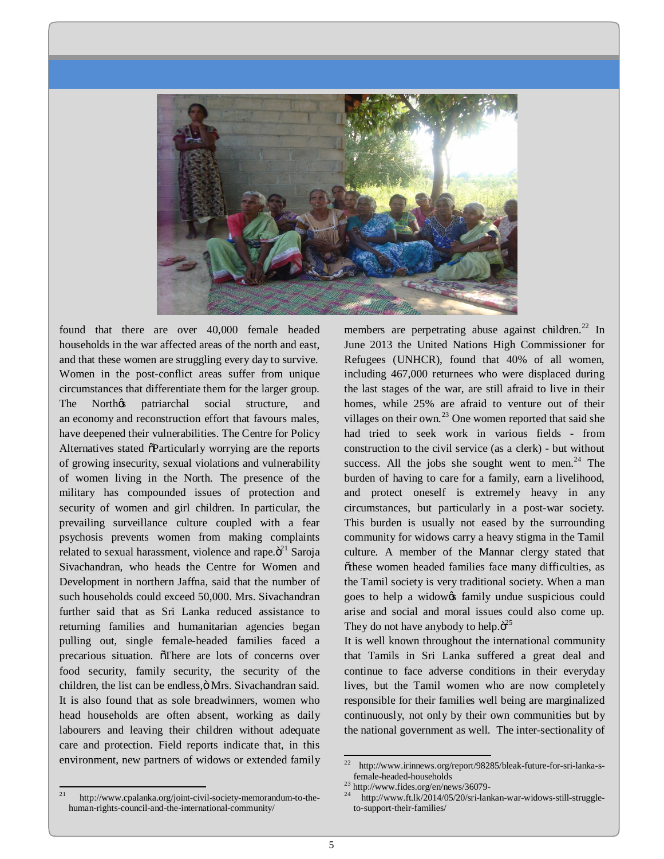

found that there are over 40,000 female headed households in the war affected areas of the north and east, and that these women are struggling every day to survive. Women in the post-conflict areas suffer from unique circumstances that differentiate them for the larger group. The Northos patriarchal social structure, and an economy and reconstruction effort that favours males, have deepened their vulnerabilities. The Centre for Policy Alternatives stated  $\delta$ Particularly worrying are the reports of growing insecurity, sexual violations and vulnerability of women living in the North. The presence of the military has compounded issues of protection and security of women and girl children. In particular, the prevailing surveillance culture coupled with a fear psychosis prevents women from making complaints related to sexual harassment, violence and rape. $\ddot{o}^{21}$  Saroja Sivachandran, who heads the Centre for Women and Development in northern Jaffna, said that the number of such households could exceed 50,000. Mrs. Sivachandran further said that as Sri Lanka reduced assistance to returning families and humanitarian agencies began pulling out, single female-headed families faced a precarious situation. There are lots of concerns over food security, family security, the security of the children, the list can be endless, ö Mrs. Sivachandran said. It is also found that as sole breadwinners, women who head households are often absent, working as daily labourers and leaving their children without adequate care and protection. Field reports indicate that, in this environment, new partners of widows or extended family members are perpetrating abuse against children.<sup>22</sup> In June 2013 the United Nations High Commissioner for Refugees (UNHCR), found that 40% of all women, including 467,000 returnees who were displaced during the last stages of the war, are still afraid to live in their homes, while 25% are afraid to venture out of their villages on their own.<sup>23</sup> One women reported that said she had tried to seek work in various fields - from construction to the civil service (as a clerk) - but without success. All the jobs she sought went to men. $^{24}$  The burden of having to care for a family, earn a livelihood, and protect oneself is extremely heavy in any circumstances, but particularly in a post-war society. This burden is usually not eased by the surrounding community for widows carry a heavy stigma in the Tamil culture. A member of the Mannar clergy stated that õthese women headed families face many difficulties, as the Tamil society is very traditional society. When a man goes to help a widow $\alpha$  family undue suspicious could arise and social and moral issues could also come up. They do not have anybody to help. $\ddot{o}^{25}$ 

It is well known throughout the international community that Tamils in Sri Lanka suffered a great deal and continue to face adverse conditions in their everyday lives, but the Tamil women who are now completely responsible for their families well being are marginalized continuously, not only by their own communities but by the national government as well. The inter-sectionality of

 $^{22}$  http://www.irinnews.org/report/98285/bleak-future-for-sri-lanka-s-<br>female-headed-households

<sup>21</sup> http://www.cpalanka.org/joint-civil-society-memorandum-to-thehuman-rights-council-and-the-international-community/

<sup>&</sup>lt;sup>23</sup> http://www.fides.org/en/news/36079-<br><sup>24</sup> http://www.ft.lk/2014/05/20/sri-lankan-war-widows-still-struggleto-support-their-families/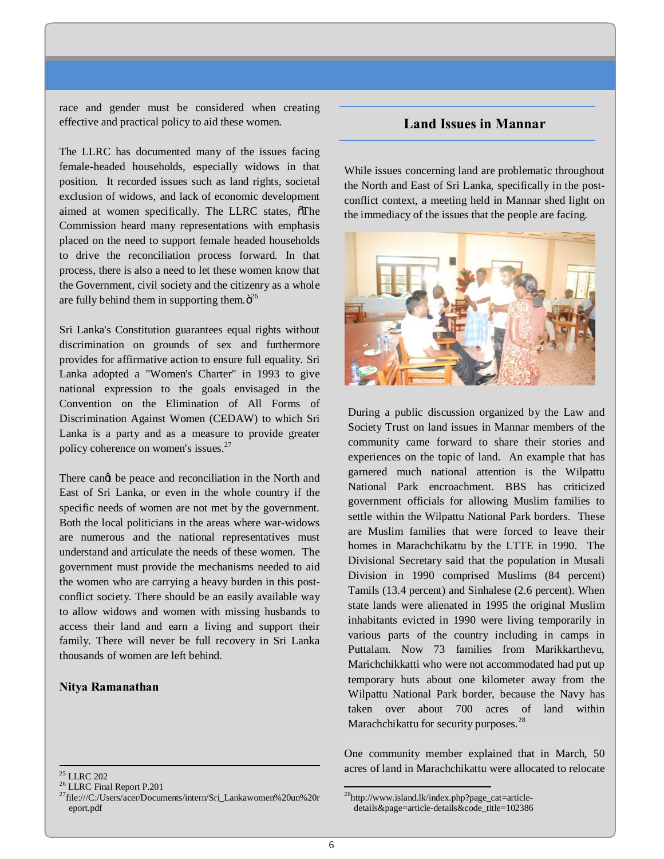race and gender must be considered when creating effective and practical policy to aid these women.

The LLRC has documented many of the issues facing female-headed households, especially widows in that position. It recorded issues such as land rights, societal exclusion of widows, and lack of economic development aimed at women specifically. The LLRC states,  $\delta$ The Commission heard many representations with emphasis placed on the need to support female headed households to drive the reconciliation process forward. In that process, there is also a need to let these women know that the Government, civil society and the citizenry as a whole are fully behind them in supporting them. $\ddot{o}^{26}$ 

Sri Lanka's Constitution guarantees equal rights without discrimination on grounds of sex and furthermore provides for affirmative action to ensure full equality. Sri Lanka adopted a "Women's Charter" in 1993 to give national expression to the goals envisaged in the Convention on the Elimination of All Forms of Discrimination Against Women (CEDAW) to which Sri Lanka is a party and as a measure to provide greater policy coherence on women's issues.<sup>27</sup>

There cand be peace and reconciliation in the North and East of Sri Lanka, or even in the whole country if the specific needs of women are not met by the government. Both the local politicians in the areas where war-widows are numerous and the national representatives must understand and articulate the needs of these women. The government must provide the mechanisms needed to aid the women who are carrying a heavy burden in this postconflict society. There should be an easily available way to allow widows and women with missing husbands to access their land and earn a living and support their family. There will never be full recovery in Sri Lanka thousands of women are left behind.

### **Nitya Ramanathan**

### **Land Issues in Mannar**

While issues concerning land are problematic throughout the North and East of Sri Lanka, specifically in the postconflict context, a meeting held in Mannar shed light on the immediacy of the issues that the people are facing.



During a public discussion organized by the Law and Society Trust on land issues in Mannar members of the community came forward to share their stories and experiences on the topic of land. An example that has garnered much national attention is the Wilpattu National Park encroachment. BBS has criticized government officials for allowing Muslim families to settle within the Wilpattu National Park borders. These are Muslim families that were forced to leave their homes in Marachchikattu by the LTTE in 1990. The Divisional Secretary said that the population in Musali Division in 1990 comprised Muslims (84 percent) Tamils (13.4 percent) and Sinhalese (2.6 percent). When state lands were alienated in 1995 the original Muslim inhabitants evicted in 1990 were living temporarily in various parts of the country including in camps in Puttalam. Now 73 families from Marikkarthevu, Marichchikkatti who were not accommodated had put up temporary huts about one kilometer away from the Wilpattu National Park border, because the Navy has taken over about 700 acres of land within Marachchikattu for security purposes.<sup>28</sup>

One community member explained that in March, 50 acres of land in Marachchikattu were allocated to relocate

<sup>&</sup>lt;sup>25</sup> LLRC 202<br><sup>26</sup> LLRC Final Report P.201<br><sup>27</sup>file:///C:/Users/acer/Documents/intern/Sri\_Lankawomen%20un%20r eport.pdf

28http://www.island.lk/index.php?page\_cat=articledetails&page=article-details&code\_title=102386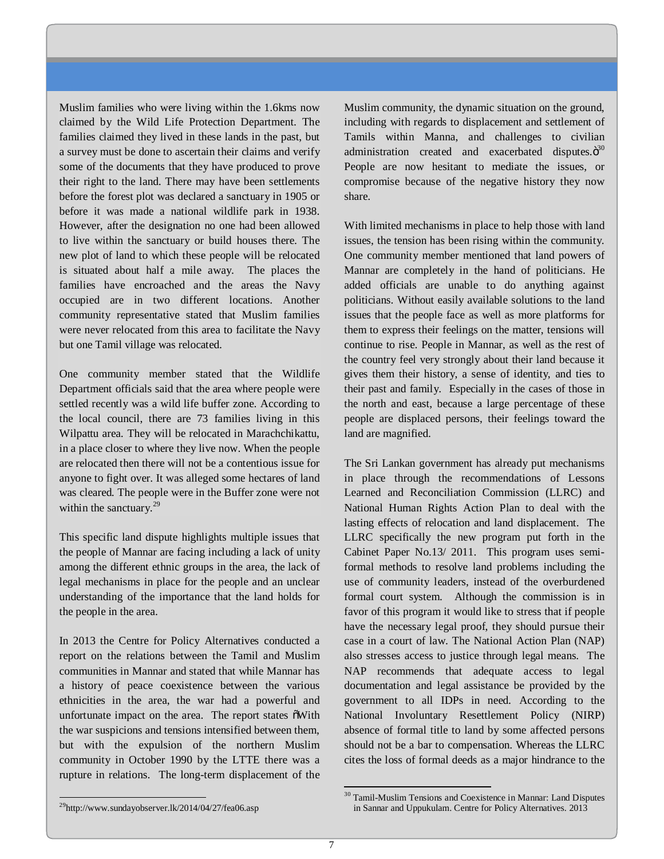Muslim families who were living within the 1.6kms now claimed by the Wild Life Protection Department. The families claimed they lived in these lands in the past, but a survey must be done to ascertain their claims and verify some of the documents that they have produced to prove their right to the land. There may have been settlements before the forest plot was declared a sanctuary in 1905 or before it was made a national wildlife park in 1938. However, after the designation no one had been allowed to live within the sanctuary or build houses there. The new plot of land to which these people will be relocated is situated about half a mile away. The places the families have encroached and the areas the Navy occupied are in two different locations. Another community representative stated that Muslim families were never relocated from this area to facilitate the Navy but one Tamil village was relocated.

One community member stated that the Wildlife Department officials said that the area where people were settled recently was a wild life buffer zone. According to the local council, there are 73 families living in this Wilpattu area. They will be relocated in Marachchikattu, in a place closer to where they live now. When the people are relocated then there will not be a contentious issue for anyone to fight over. It was alleged some hectares of land was cleared. The people were in the Buffer zone were not within the sanctuary.<sup>29</sup>

This specific land dispute highlights multiple issues that the people of Mannar are facing including a lack of unity among the different ethnic groups in the area, the lack of legal mechanisms in place for the people and an unclear understanding of the importance that the land holds for the people in the area.

In 2013 the Centre for Policy Alternatives conducted a report on the relations between the Tamil and Muslim communities in Mannar and stated that while Mannar has a history of peace coexistence between the various ethnicities in the area, the war had a powerful and unfortunate impact on the area. The report states  $\delta$ With the war suspicions and tensions intensified between them, but with the expulsion of the northern Muslim community in October 1990 by the LTTE there was a rupture in relations. The long-term displacement of the

Muslim community, the dynamic situation on the ground, including with regards to displacement and settlement of Tamils within Manna, and challenges to civilian administration created and exacerbated disputes. $\ddot{o}^{30}$ People are now hesitant to mediate the issues, or compromise because of the negative history they now share.

With limited mechanisms in place to help those with land issues, the tension has been rising within the community. One community member mentioned that land powers of Mannar are completely in the hand of politicians. He added officials are unable to do anything against politicians. Without easily available solutions to the land issues that the people face as well as more platforms for them to express their feelings on the matter, tensions will continue to rise. People in Mannar, as well as the rest of the country feel very strongly about their land because it gives them their history, a sense of identity, and ties to their past and family. Especially in the cases of those in the north and east, because a large percentage of these people are displaced persons, their feelings toward the land are magnified.

The Sri Lankan government has already put mechanisms in place through the recommendations of Lessons Learned and Reconciliation Commission (LLRC) and National Human Rights Action Plan to deal with the lasting effects of relocation and land displacement. The LLRC specifically the new program put forth in the Cabinet Paper No.13/ 2011. This program uses semiformal methods to resolve land problems including the use of community leaders, instead of the overburdened formal court system. Although the commission is in favor of this program it would like to stress that if people have the necessary legal proof, they should pursue their case in a court of law. The National Action Plan (NAP) also stresses access to justice through legal means. The NAP recommends that adequate access to legal documentation and legal assistance be provided by the government to all IDPs in need. According to the National Involuntary Resettlement Policy (NIRP) absence of formal title to land by some affected persons should not be a bar to compensation. Whereas the LLRC cites the loss of formal deeds as a major hindrance to the

 $^{29}$ http://www.sundayobserver.lk/2014/04/27/fea06.asp

<sup>&</sup>lt;sup>30</sup> Tamil-Muslim Tensions and Coexistence in Mannar: Land Disputes in Sannar and Uppukulam. Centre for Policy Alternatives. 2013